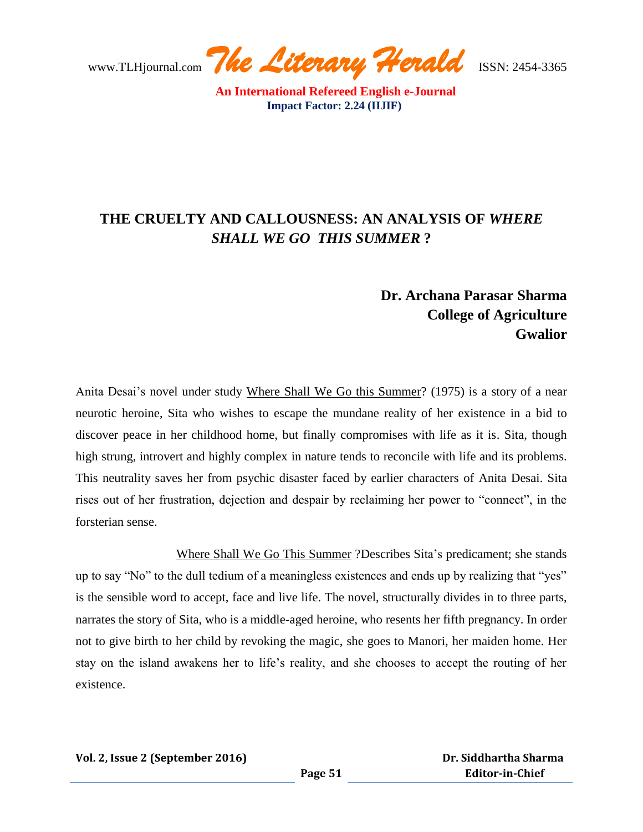www.TLHjournal.com *The Literary Herald*ISSN: 2454-3365

# **THE CRUELTY AND CALLOUSNESS: AN ANALYSIS OF** *WHERE SHALL WE GO THIS SUMMER* **?**

## **Dr. Archana Parasar Sharma College of Agriculture Gwalior**

Anita Desai's novel under study Where Shall We Go this Summer? (1975) is a story of a near neurotic heroine, Sita who wishes to escape the mundane reality of her existence in a bid to discover peace in her childhood home, but finally compromises with life as it is. Sita, though high strung, introvert and highly complex in nature tends to reconcile with life and its problems. This neutrality saves her from psychic disaster faced by earlier characters of Anita Desai. Sita rises out of her frustration, dejection and despair by reclaiming her power to "connect", in the forsterian sense.

Where Shall We Go This Summer ?Describes Sita's predicament; she stands up to say "No" to the dull tedium of a meaningless existences and ends up by realizing that "yes" is the sensible word to accept, face and live life. The novel, structurally divides in to three parts, narrates the story of Sita, who is a middle-aged heroine, who resents her fifth pregnancy. In order not to give birth to her child by revoking the magic, she goes to Manori, her maiden home. Her stay on the island awakens her to life"s reality, and she chooses to accept the routing of her existence.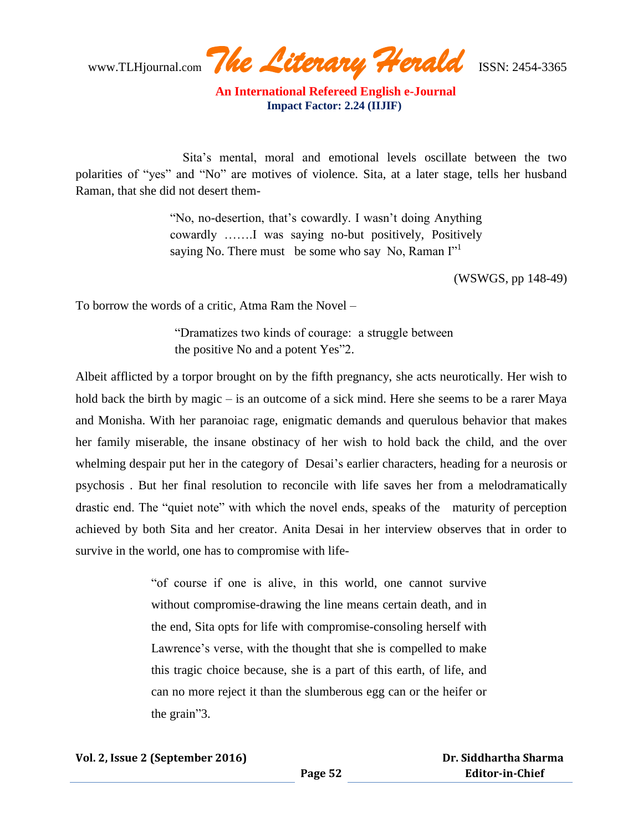www.TLHjournal.com *The Literary Herald*ISSN: 2454-3365

 Sita"s mental, moral and emotional levels oscillate between the two polarities of "yes" and "No" are motives of violence. Sita, at a later stage, tells her husband Raman, that she did not desert them-

> "No, no-desertion, that"s cowardly. I wasn"t doing Anything cowardly …….I was saying no-but positively, Positively saying No. There must be some who say No, Raman  $\Gamma$ <sup>1</sup>

> > (WSWGS, pp 148-49)

To borrow the words of a critic, Atma Ram the Novel –

"Dramatizes two kinds of courage: a struggle between the positive No and a potent Yes"2.

Albeit afflicted by a torpor brought on by the fifth pregnancy, she acts neurotically. Her wish to hold back the birth by magic – is an outcome of a sick mind. Here she seems to be a rarer Maya and Monisha. With her paranoiac rage, enigmatic demands and querulous behavior that makes her family miserable, the insane obstinacy of her wish to hold back the child, and the over whelming despair put her in the category of Desai's earlier characters, heading for a neurosis or psychosis . But her final resolution to reconcile with life saves her from a melodramatically drastic end. The "quiet note" with which the novel ends, speaks of the maturity of perception achieved by both Sita and her creator. Anita Desai in her interview observes that in order to survive in the world, one has to compromise with life-

> "of course if one is alive, in this world, one cannot survive without compromise-drawing the line means certain death, and in the end, Sita opts for life with compromise-consoling herself with Lawrence's verse, with the thought that she is compelled to make this tragic choice because, she is a part of this earth, of life, and can no more reject it than the slumberous egg can or the heifer or the grain"3.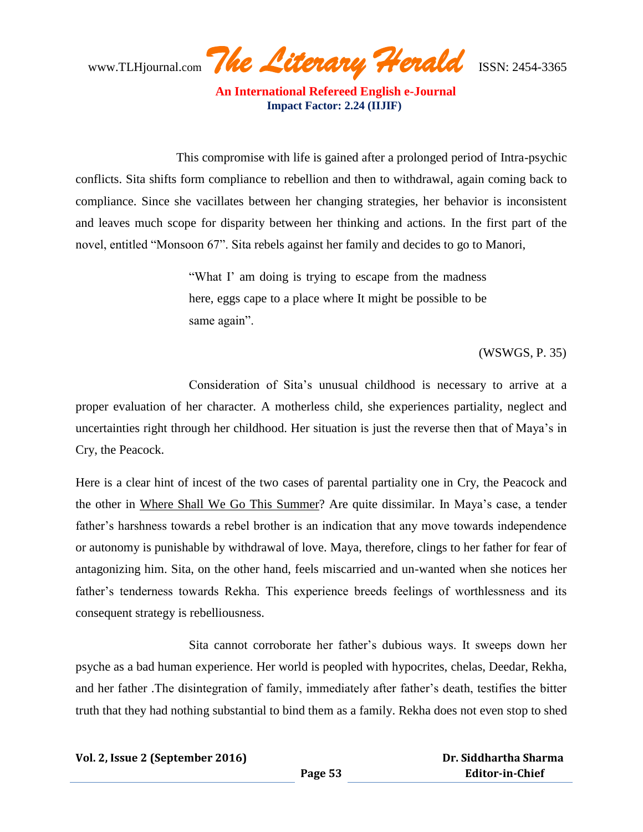www.TLHjournal.com *The Literary Herald*ISSN: 2454-3365

 This compromise with life is gained after a prolonged period of Intra-psychic conflicts. Sita shifts form compliance to rebellion and then to withdrawal, again coming back to compliance. Since she vacillates between her changing strategies, her behavior is inconsistent and leaves much scope for disparity between her thinking and actions. In the first part of the novel, entitled "Monsoon 67". Sita rebels against her family and decides to go to Manori,

> "What I' am doing is trying to escape from the madness here, eggs cape to a place where It might be possible to be same again".

#### (WSWGS, P. 35)

 Consideration of Sita"s unusual childhood is necessary to arrive at a proper evaluation of her character. A motherless child, she experiences partiality, neglect and uncertainties right through her childhood. Her situation is just the reverse then that of Maya"s in Cry, the Peacock.

Here is a clear hint of incest of the two cases of parental partiality one in Cry, the Peacock and the other in Where Shall We Go This Summer? Are quite dissimilar. In Maya"s case, a tender father"s harshness towards a rebel brother is an indication that any move towards independence or autonomy is punishable by withdrawal of love. Maya, therefore, clings to her father for fear of antagonizing him. Sita, on the other hand, feels miscarried and un-wanted when she notices her father's tenderness towards Rekha. This experience breeds feelings of worthlessness and its consequent strategy is rebelliousness.

 Sita cannot corroborate her father"s dubious ways. It sweeps down her psyche as a bad human experience. Her world is peopled with hypocrites, chelas, Deedar, Rekha, and her father .The disintegration of family, immediately after father"s death, testifies the bitter truth that they had nothing substantial to bind them as a family. Rekha does not even stop to shed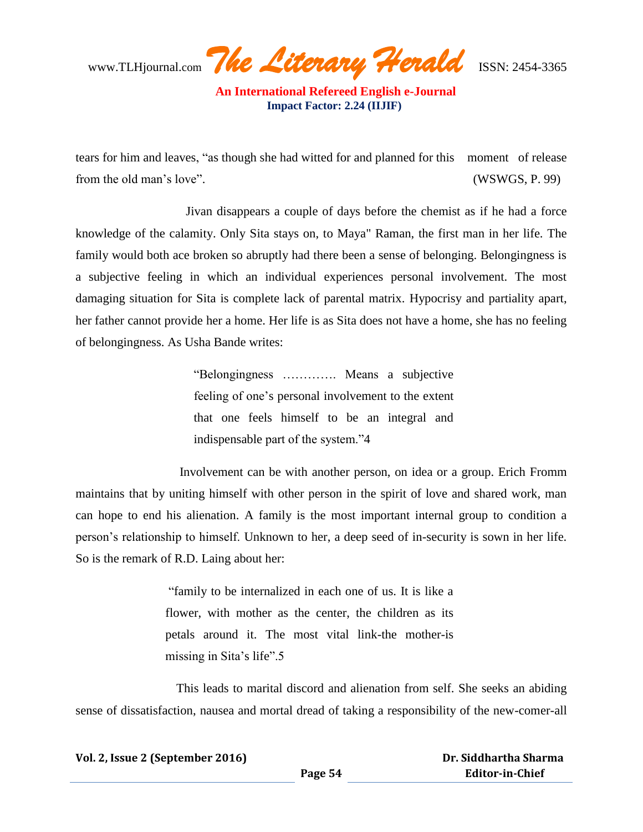www.TLHjournal.com *The Literary Herald*ISSN: 2454-3365

tears for him and leaves, "as though she had witted for and planned for this moment of release from the old man's love". (WSWGS, P. 99)

 Jivan disappears a couple of days before the chemist as if he had a force knowledge of the calamity. Only Sita stays on, to Maya" Raman, the first man in her life. The family would both ace broken so abruptly had there been a sense of belonging. Belongingness is a subjective feeling in which an individual experiences personal involvement. The most damaging situation for Sita is complete lack of parental matrix. Hypocrisy and partiality apart, her father cannot provide her a home. Her life is as Sita does not have a home, she has no feeling of belongingness. As Usha Bande writes:

> "Belongingness …………. Means a subjective feeling of one"s personal involvement to the extent that one feels himself to be an integral and indispensable part of the system."4

 Involvement can be with another person, on idea or a group. Erich Fromm maintains that by uniting himself with other person in the spirit of love and shared work, man can hope to end his alienation. A family is the most important internal group to condition a person"s relationship to himself. Unknown to her, a deep seed of in-security is sown in her life. So is the remark of R.D. Laing about her:

> "family to be internalized in each one of us. It is like a flower, with mother as the center, the children as its petals around it. The most vital link-the mother-is missing in Sita's life".5

 This leads to marital discord and alienation from self. She seeks an abiding sense of dissatisfaction, nausea and mortal dread of taking a responsibility of the new-comer-all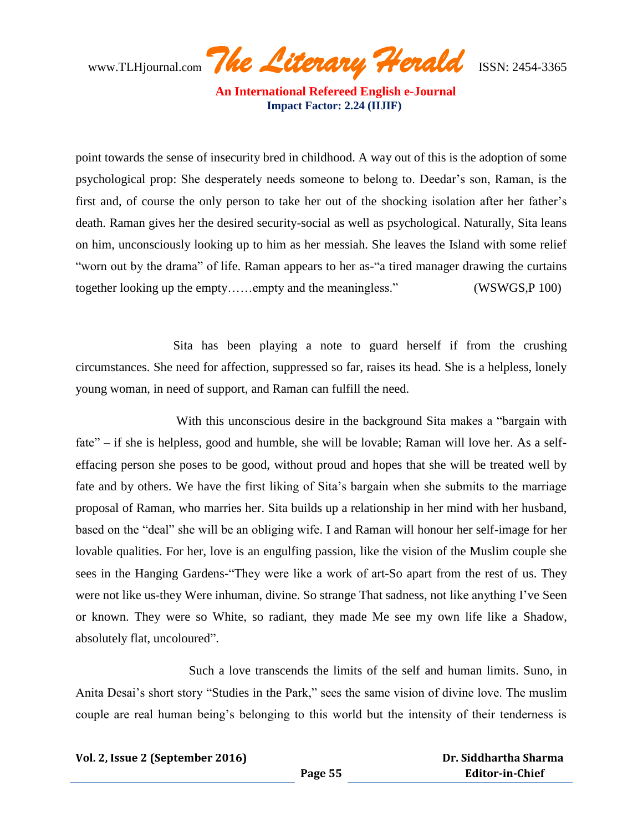www.TLHjournal.com *The Literary Herald*ISSN: 2454-3365

point towards the sense of insecurity bred in childhood. A way out of this is the adoption of some psychological prop: She desperately needs someone to belong to. Deedar"s son, Raman, is the first and, of course the only person to take her out of the shocking isolation after her father"s death. Raman gives her the desired security-social as well as psychological. Naturally, Sita leans on him, unconsciously looking up to him as her messiah. She leaves the Island with some relief "worn out by the drama" of life. Raman appears to her as-"a tired manager drawing the curtains together looking up the empty……empty and the meaningless." (WSWGS,P 100)

 Sita has been playing a note to guard herself if from the crushing circumstances. She need for affection, suppressed so far, raises its head. She is a helpless, lonely young woman, in need of support, and Raman can fulfill the need.

 With this unconscious desire in the background Sita makes a "bargain with fate" – if she is helpless, good and humble, she will be lovable; Raman will love her. As a selfeffacing person she poses to be good, without proud and hopes that she will be treated well by fate and by others. We have the first liking of Sita"s bargain when she submits to the marriage proposal of Raman, who marries her. Sita builds up a relationship in her mind with her husband, based on the "deal" she will be an obliging wife. I and Raman will honour her self-image for her lovable qualities. For her, love is an engulfing passion, like the vision of the Muslim couple she sees in the Hanging Gardens-"They were like a work of art-So apart from the rest of us. They were not like us-they Were inhuman, divine. So strange That sadness, not like anything I"ve Seen or known. They were so White, so radiant, they made Me see my own life like a Shadow, absolutely flat, uncoloured".

Such a love transcends the limits of the self and human limits. Suno, in Anita Desai's short story "Studies in the Park," sees the same vision of divine love. The muslim couple are real human being's belonging to this world but the intensity of their tenderness is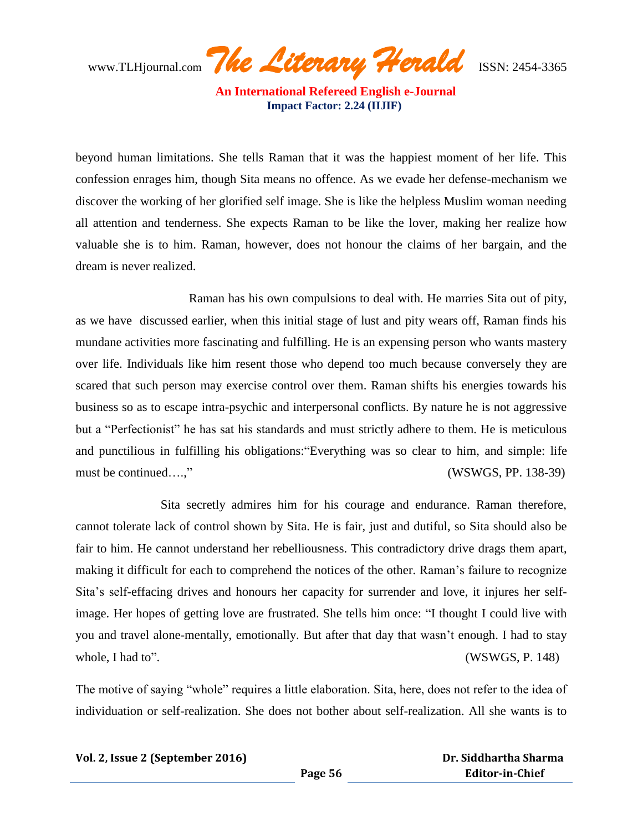www.TLHjournal.com *The Literary Herald*ISSN: 2454-3365

beyond human limitations. She tells Raman that it was the happiest moment of her life. This confession enrages him, though Sita means no offence. As we evade her defense-mechanism we discover the working of her glorified self image. She is like the helpless Muslim woman needing all attention and tenderness. She expects Raman to be like the lover, making her realize how valuable she is to him. Raman, however, does not honour the claims of her bargain, and the dream is never realized.

 Raman has his own compulsions to deal with. He marries Sita out of pity, as we have discussed earlier, when this initial stage of lust and pity wears off, Raman finds his mundane activities more fascinating and fulfilling. He is an expensing person who wants mastery over life. Individuals like him resent those who depend too much because conversely they are scared that such person may exercise control over them. Raman shifts his energies towards his business so as to escape intra-psychic and interpersonal conflicts. By nature he is not aggressive but a "Perfectionist" he has sat his standards and must strictly adhere to them. He is meticulous and punctilious in fulfilling his obligations:"Everything was so clear to him, and simple: life must be continued….," (WSWGS, PP. 138-39)

 Sita secretly admires him for his courage and endurance. Raman therefore, cannot tolerate lack of control shown by Sita. He is fair, just and dutiful, so Sita should also be fair to him. He cannot understand her rebelliousness. This contradictory drive drags them apart, making it difficult for each to comprehend the notices of the other. Raman"s failure to recognize Sita"s self-effacing drives and honours her capacity for surrender and love, it injures her selfimage. Her hopes of getting love are frustrated. She tells him once: "I thought I could live with you and travel alone-mentally, emotionally. But after that day that wasn"t enough. I had to stay whole, I had to". (WSWGS, P. 148)

The motive of saying "whole" requires a little elaboration. Sita, here, does not refer to the idea of individuation or self-realization. She does not bother about self-realization. All she wants is to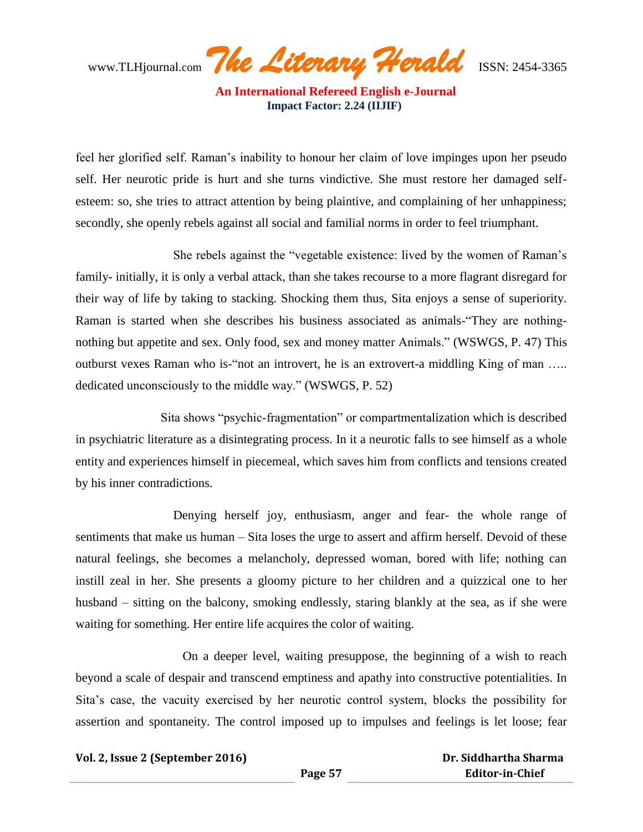www.TLHjournal.com *The Literary Herald*ISSN: 2454-3365

feel her glorified self. Raman"s inability to honour her claim of love impinges upon her pseudo self. Her neurotic pride is hurt and she turns vindictive. She must restore her damaged selfesteem: so, she tries to attract attention by being plaintive, and complaining of her unhappiness; secondly, she openly rebels against all social and familial norms in order to feel triumphant.

 She rebels against the "vegetable existence: lived by the women of Raman"s family- initially, it is only a verbal attack, than she takes recourse to a more flagrant disregard for their way of life by taking to stacking. Shocking them thus, Sita enjoys a sense of superiority. Raman is started when she describes his business associated as animals-"They are nothingnothing but appetite and sex. Only food, sex and money matter Animals." (WSWGS, P. 47) This outburst vexes Raman who is-"not an introvert, he is an extrovert-a middling King of man ….. dedicated unconsciously to the middle way." (WSWGS, P. 52)

 Sita shows "psychic-fragmentation" or compartmentalization which is described in psychiatric literature as a disintegrating process. In it a neurotic falls to see himself as a whole entity and experiences himself in piecemeal, which saves him from conflicts and tensions created by his inner contradictions.

 Denying herself joy, enthusiasm, anger and fear- the whole range of sentiments that make us human – Sita loses the urge to assert and affirm herself. Devoid of these natural feelings, she becomes a melancholy, depressed woman, bored with life; nothing can instill zeal in her. She presents a gloomy picture to her children and a quizzical one to her husband – sitting on the balcony, smoking endlessly, staring blankly at the sea, as if she were waiting for something. Her entire life acquires the color of waiting.

 On a deeper level, waiting presuppose, the beginning of a wish to reach beyond a scale of despair and transcend emptiness and apathy into constructive potentialities. In Sita"s case, the vacuity exercised by her neurotic control system, blocks the possibility for assertion and spontaneity. The control imposed up to impulses and feelings is let loose; fear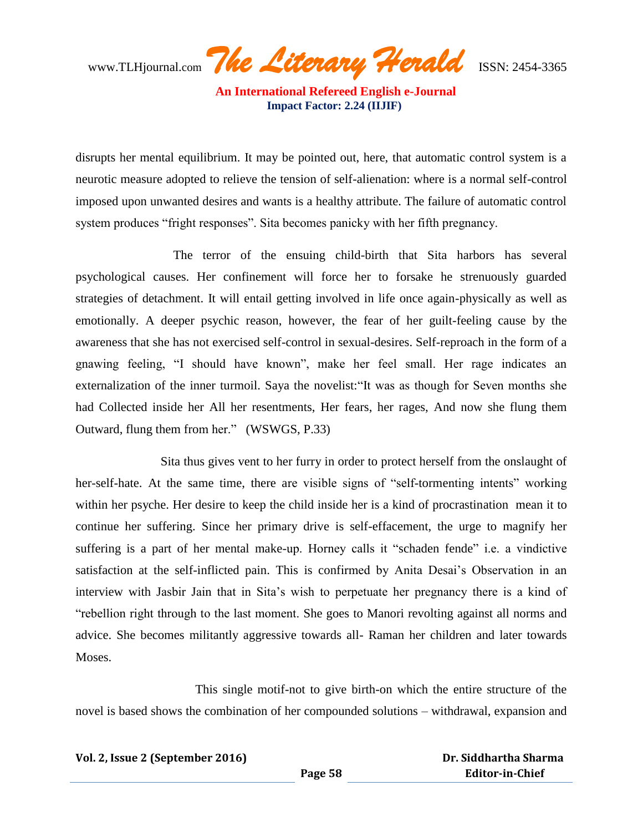www.TLHjournal.com *The Literary Herald*ISSN: 2454-3365

disrupts her mental equilibrium. It may be pointed out, here, that automatic control system is a neurotic measure adopted to relieve the tension of self-alienation: where is a normal self-control imposed upon unwanted desires and wants is a healthy attribute. The failure of automatic control system produces "fright responses". Sita becomes panicky with her fifth pregnancy.

 The terror of the ensuing child-birth that Sita harbors has several psychological causes. Her confinement will force her to forsake he strenuously guarded strategies of detachment. It will entail getting involved in life once again-physically as well as emotionally. A deeper psychic reason, however, the fear of her guilt-feeling cause by the awareness that she has not exercised self-control in sexual-desires. Self-reproach in the form of a gnawing feeling, "I should have known", make her feel small. Her rage indicates an externalization of the inner turmoil. Saya the novelist:"It was as though for Seven months she had Collected inside her All her resentments, Her fears, her rages, And now she flung them Outward, flung them from her." (WSWGS, P.33)

 Sita thus gives vent to her furry in order to protect herself from the onslaught of her-self-hate. At the same time, there are visible signs of "self-tormenting intents" working within her psyche. Her desire to keep the child inside her is a kind of procrastination mean it to continue her suffering. Since her primary drive is self-effacement, the urge to magnify her suffering is a part of her mental make-up. Horney calls it "schaden fende" i.e. a vindictive satisfaction at the self-inflicted pain. This is confirmed by Anita Desai"s Observation in an interview with Jasbir Jain that in Sita's wish to perpetuate her pregnancy there is a kind of "rebellion right through to the last moment. She goes to Manori revolting against all norms and advice. She becomes militantly aggressive towards all- Raman her children and later towards Moses.

 This single motif-not to give birth-on which the entire structure of the novel is based shows the combination of her compounded solutions – withdrawal, expansion and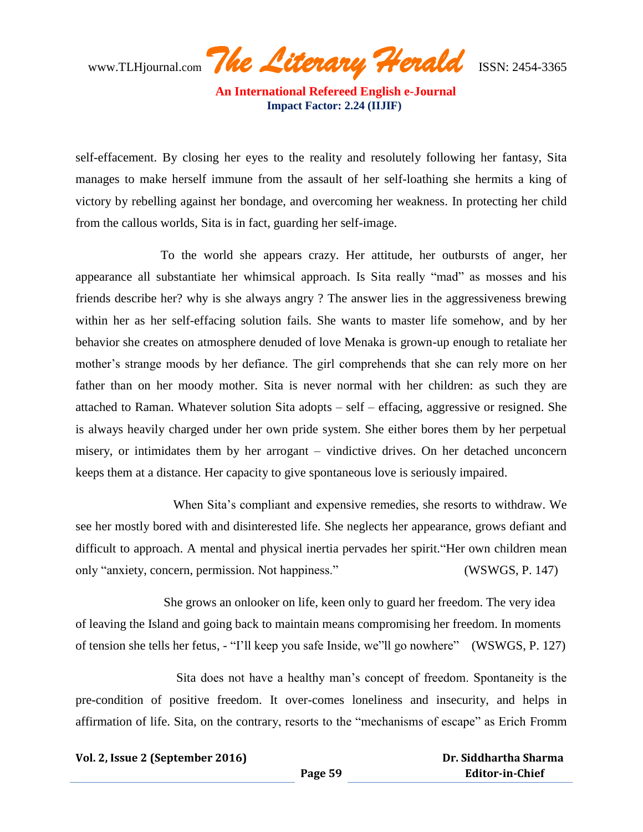www.TLHjournal.com *The Literary Herald*ISSN: 2454-3365

self-effacement. By closing her eyes to the reality and resolutely following her fantasy, Sita manages to make herself immune from the assault of her self-loathing she hermits a king of victory by rebelling against her bondage, and overcoming her weakness. In protecting her child from the callous worlds, Sita is in fact, guarding her self-image.

 To the world she appears crazy. Her attitude, her outbursts of anger, her appearance all substantiate her whimsical approach. Is Sita really "mad" as mosses and his friends describe her? why is she always angry ? The answer lies in the aggressiveness brewing within her as her self-effacing solution fails. She wants to master life somehow, and by her behavior she creates on atmosphere denuded of love Menaka is grown-up enough to retaliate her mother's strange moods by her defiance. The girl comprehends that she can rely more on her father than on her moody mother. Sita is never normal with her children: as such they are attached to Raman. Whatever solution Sita adopts – self – effacing, aggressive or resigned. She is always heavily charged under her own pride system. She either bores them by her perpetual misery, or intimidates them by her arrogant – vindictive drives. On her detached unconcern keeps them at a distance. Her capacity to give spontaneous love is seriously impaired.

When Sita's compliant and expensive remedies, she resorts to withdraw. We see her mostly bored with and disinterested life. She neglects her appearance, grows defiant and difficult to approach. A mental and physical inertia pervades her spirit."Her own children mean only "anxiety, concern, permission. Not happiness." (WSWGS, P. 147)

 She grows an onlooker on life, keen only to guard her freedom. The very idea of leaving the Island and going back to maintain means compromising her freedom. In moments of tension she tells her fetus, - "I"ll keep you safe Inside, we"ll go nowhere" (WSWGS, P. 127)

 Sita does not have a healthy man"s concept of freedom. Spontaneity is the pre-condition of positive freedom. It over-comes loneliness and insecurity, and helps in affirmation of life. Sita, on the contrary, resorts to the "mechanisms of escape" as Erich Fromm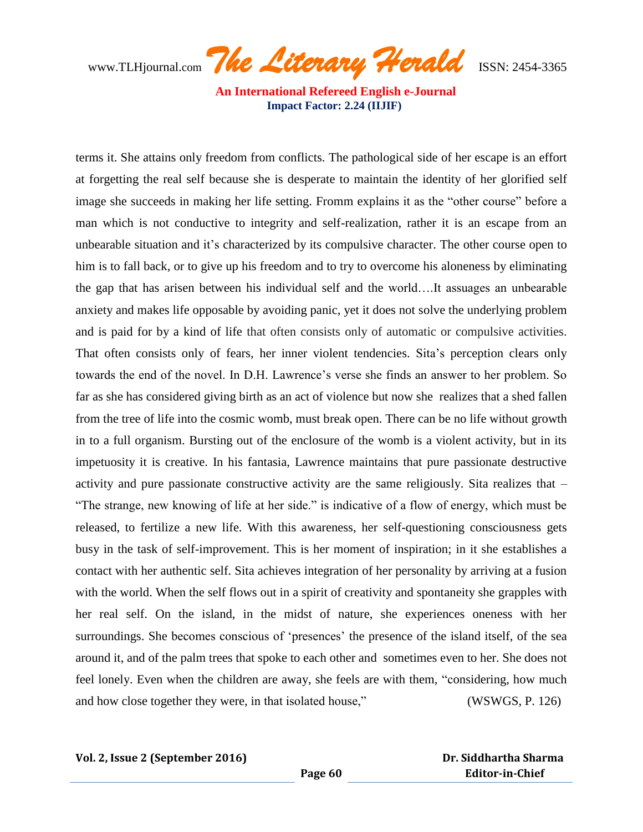www.TLHjournal.com *The Literary Herald*ISSN: 2454-3365

terms it. She attains only freedom from conflicts. The pathological side of her escape is an effort at forgetting the real self because she is desperate to maintain the identity of her glorified self image she succeeds in making her life setting. Fromm explains it as the "other course" before a man which is not conductive to integrity and self-realization, rather it is an escape from an unbearable situation and it"s characterized by its compulsive character. The other course open to him is to fall back, or to give up his freedom and to try to overcome his aloneness by eliminating the gap that has arisen between his individual self and the world….It assuages an unbearable anxiety and makes life opposable by avoiding panic, yet it does not solve the underlying problem and is paid for by a kind of life that often consists only of automatic or compulsive activities. That often consists only of fears, her inner violent tendencies. Sita"s perception clears only towards the end of the novel. In D.H. Lawrence"s verse she finds an answer to her problem. So far as she has considered giving birth as an act of violence but now she realizes that a shed fallen from the tree of life into the cosmic womb, must break open. There can be no life without growth in to a full organism. Bursting out of the enclosure of the womb is a violent activity, but in its impetuosity it is creative. In his fantasia, Lawrence maintains that pure passionate destructive activity and pure passionate constructive activity are the same religiously. Sita realizes that – "The strange, new knowing of life at her side." is indicative of a flow of energy, which must be released, to fertilize a new life. With this awareness, her self-questioning consciousness gets busy in the task of self-improvement. This is her moment of inspiration; in it she establishes a contact with her authentic self. Sita achieves integration of her personality by arriving at a fusion with the world. When the self flows out in a spirit of creativity and spontaneity she grapples with her real self. On the island, in the midst of nature, she experiences oneness with her surroundings. She becomes conscious of 'presences' the presence of the island itself, of the sea around it, and of the palm trees that spoke to each other and sometimes even to her. She does not feel lonely. Even when the children are away, she feels are with them, "considering, how much and how close together they were, in that isolated house," (WSWGS, P. 126)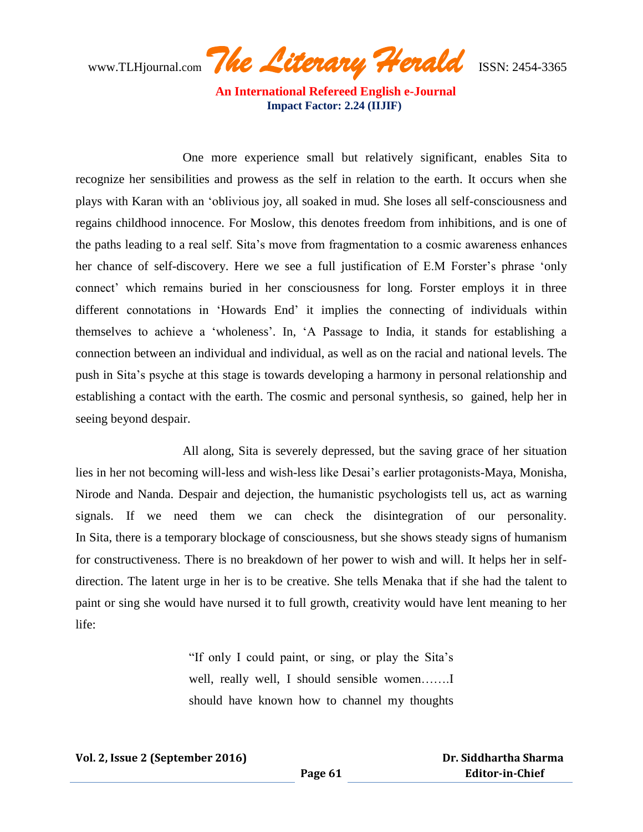www.TLHjournal.com *The Literary Herald*ISSN: 2454-3365

 One more experience small but relatively significant, enables Sita to recognize her sensibilities and prowess as the self in relation to the earth. It occurs when she plays with Karan with an "oblivious joy, all soaked in mud. She loses all self-consciousness and regains childhood innocence. For Moslow, this denotes freedom from inhibitions, and is one of the paths leading to a real self. Sita"s move from fragmentation to a cosmic awareness enhances her chance of self-discovery. Here we see a full justification of E.M Forster's phrase 'only connect" which remains buried in her consciousness for long. Forster employs it in three different connotations in "Howards End" it implies the connecting of individuals within themselves to achieve a "wholeness". In, "A Passage to India, it stands for establishing a connection between an individual and individual, as well as on the racial and national levels. The push in Sita"s psyche at this stage is towards developing a harmony in personal relationship and establishing a contact with the earth. The cosmic and personal synthesis, so gained, help her in seeing beyond despair.

 All along, Sita is severely depressed, but the saving grace of her situation lies in her not becoming will-less and wish-less like Desai"s earlier protagonists-Maya, Monisha, Nirode and Nanda. Despair and dejection, the humanistic psychologists tell us, act as warning signals. If we need them we can check the disintegration of our personality. In Sita, there is a temporary blockage of consciousness, but she shows steady signs of humanism for constructiveness. There is no breakdown of her power to wish and will. It helps her in selfdirection. The latent urge in her is to be creative. She tells Menaka that if she had the talent to paint or sing she would have nursed it to full growth, creativity would have lent meaning to her life:

> "If only I could paint, or sing, or play the Sita"s well, really well, I should sensible women........ should have known how to channel my thoughts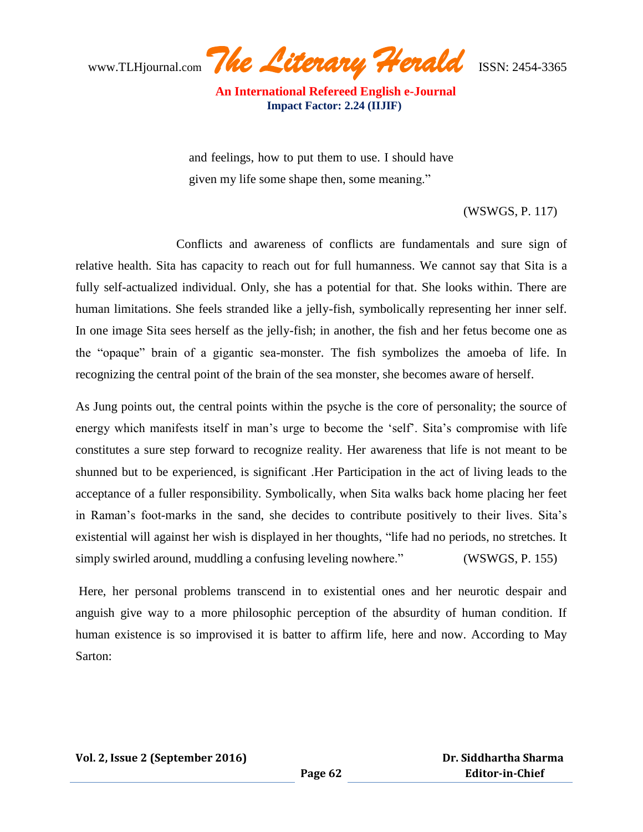www.TLHjournal.com *The Literary Herald*ISSN: 2454-3365

and feelings, how to put them to use. I should have given my life some shape then, some meaning."

### (WSWGS, P. 117)

 Conflicts and awareness of conflicts are fundamentals and sure sign of relative health. Sita has capacity to reach out for full humanness. We cannot say that Sita is a fully self-actualized individual. Only, she has a potential for that. She looks within. There are human limitations. She feels stranded like a jelly-fish, symbolically representing her inner self. In one image Sita sees herself as the jelly-fish; in another, the fish and her fetus become one as the "opaque" brain of a gigantic sea-monster. The fish symbolizes the amoeba of life. In recognizing the central point of the brain of the sea monster, she becomes aware of herself.

As Jung points out, the central points within the psyche is the core of personality; the source of energy which manifests itself in man's urge to become the 'self'. Sita's compromise with life constitutes a sure step forward to recognize reality. Her awareness that life is not meant to be shunned but to be experienced, is significant .Her Participation in the act of living leads to the acceptance of a fuller responsibility. Symbolically, when Sita walks back home placing her feet in Raman"s foot-marks in the sand, she decides to contribute positively to their lives. Sita"s existential will against her wish is displayed in her thoughts, "life had no periods, no stretches. It simply swirled around, muddling a confusing leveling nowhere." (WSWGS, P. 155)

Here, her personal problems transcend in to existential ones and her neurotic despair and anguish give way to a more philosophic perception of the absurdity of human condition. If human existence is so improvised it is batter to affirm life, here and now. According to May Sarton: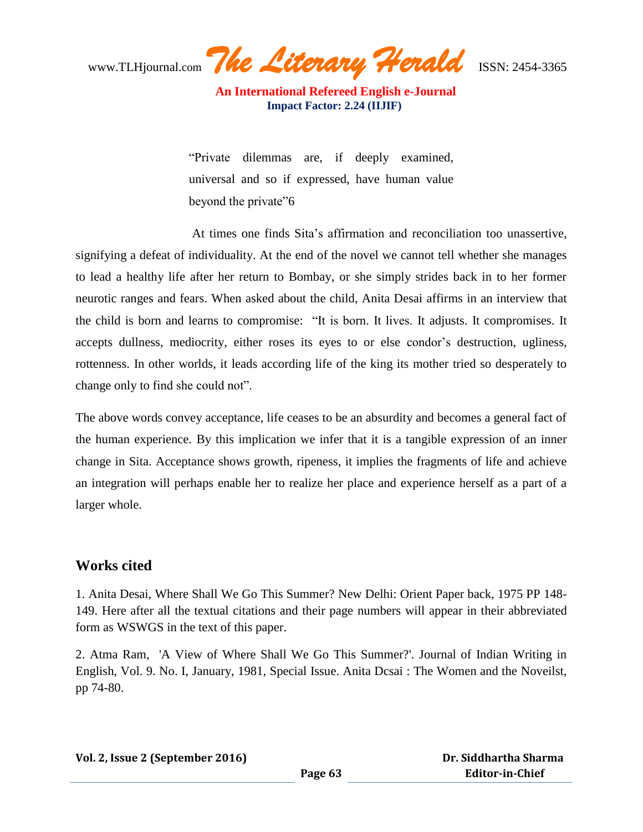www.TLHjournal.com *The Literary Herald*ISSN: 2454-3365

"Private dilemmas are, if deeply examined, universal and so if expressed, have human value beyond the private"6

 At times one finds Sita"s affirmation and reconciliation too unassertive, signifying a defeat of individuality. At the end of the novel we cannot tell whether she manages to lead a healthy life after her return to Bombay, or she simply strides back in to her former neurotic ranges and fears. When asked about the child, Anita Desai affirms in an interview that the child is born and learns to compromise: "It is born. It lives. It adjusts. It compromises. It accepts dullness, mediocrity, either roses its eyes to or else condor's destruction, ugliness, rottenness. In other worlds, it leads according life of the king its mother tried so desperately to change only to find she could not".

The above words convey acceptance, life ceases to be an absurdity and becomes a general fact of the human experience. By this implication we infer that it is a tangible expression of an inner change in Sita. Acceptance shows growth, ripeness, it implies the fragments of life and achieve an integration will perhaps enable her to realize her place and experience herself as a part of a larger whole.

### **Works cited**

1. Anita Desai, Where Shall We Go This Summer? New Delhi: Orient Paper back, 1975 PP 148- 149. Here after all the textual citations and their page numbers will appear in their abbreviated form as WSWGS in the text of this paper.

2. Atma Ram, 'A View of Where Shall We Go This Summer?'. Journal of Indian Writing in English, Vol. 9. No. I, January, 1981, Special Issue. Anita Dcsai : The Women and the Noveilst, pp 74-80.